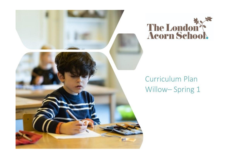



## Curriculum Plan Willow-Spring 1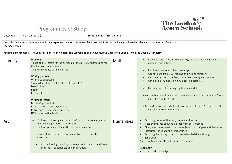## Programmes of Study



Class/ Year Class 1 (year 2) Term Spring – first half term

Unit title: Celebrating Cultures - A topic unit exploring traditional European fairy tales and folktales. Including fables/tales relevant to the cultures of our Class. Literacy Genres

Reading Enhancements: The Jolly Postman- Allan Ahlberg, The Ladybird Tales of Adventurous Girls, Once Upon a Time Map Book BG Hennessy

| Literacy | Grammar<br>To use capital letters for the personal pronoun "I", for names and for<br>the first word in a sentence.<br>To end a sentence with a full stop.<br><b>Writing purpose</b><br>Writing to entertain:<br>Stories (Including re-telling & traditional tales)<br>Descriptions<br>Poetry<br>In character role<br>Writing to inform:<br>Labels, Captions, Lists<br>Recount - First-hand experience<br>Instructions - First-hand experience<br>NCR - Information Leaflet | <b>Maths</b>      | Recognise and name 3-D shapes (e.g. cuboids, including cubes,<br>pyramids and spheres).<br>Reinforcement of number knowledge<br>Count to and from 100, reading and writing numbers<br>Can identify one more than or one less than a given number<br>Can place all numbers on a number line correctly<br>Use language of ordering e.g. first, second, third<br>. Number bonds and related subtraction facts within 10, in several forms<br>e.g. $3 + 4 = 7$ ; $4 = 7 - 3$ ;<br>• Add and subtract one-digit and two-digit numbers to 20 (9 + 9, 18 - 9),<br>including zero from materials |
|----------|----------------------------------------------------------------------------------------------------------------------------------------------------------------------------------------------------------------------------------------------------------------------------------------------------------------------------------------------------------------------------------------------------------------------------------------------------------------------------|-------------------|------------------------------------------------------------------------------------------------------------------------------------------------------------------------------------------------------------------------------------------------------------------------------------------------------------------------------------------------------------------------------------------------------------------------------------------------------------------------------------------------------------------------------------------------------------------------------------------|
| Art      | Explore and investigate how Andy Goldsworthy created natural<br>$\bullet$<br>material images in relation to seasons<br>Explore space and shapes through land sculpture<br>$\bullet$<br>Clay sculpture to explore form and structure; a fairy tale<br>$\bullet$<br>character.<br>to use drawing, painting and sculpture to develop and share<br>$\bullet$<br>their ideas, experiences and imagination                                                                       | <b>Humanities</b> | Exploring stories of the past, present and future.<br>$\bullet$<br>Place events into sequential order from past-present<br>Give plausible explanations about objects from the past and their uses<br>Historical stories and their importance<br>$\bullet$<br>Exploring the history of oral language handed down through<br>generations<br>A study of Mary Seacole and Florence Nightingale<br>Geography<br>• Locational knowledge                                                                                                                                                        |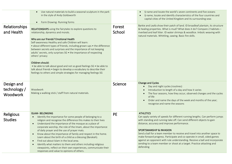|                                        | Use natural materials to build a seasonal sculpture in the park<br>$\bullet$<br>in the style of Andy Goldsworth<br>Form Drawing-Running forms<br>$\bullet$                                                                                                                                                                                                                                                                                                                                                                                                                                                                                                                                                                                                 |                  | § name and locate the world's seven continents and five oceans<br>§ name, locate and identify characteristics of the four countries and<br>capital cities of the United Kingdom and its surrounding seas                                                                                                                                                                                                                                                                                                                                                                                      |
|----------------------------------------|------------------------------------------------------------------------------------------------------------------------------------------------------------------------------------------------------------------------------------------------------------------------------------------------------------------------------------------------------------------------------------------------------------------------------------------------------------------------------------------------------------------------------------------------------------------------------------------------------------------------------------------------------------------------------------------------------------------------------------------------------------|------------------|-----------------------------------------------------------------------------------------------------------------------------------------------------------------------------------------------------------------------------------------------------------------------------------------------------------------------------------------------------------------------------------------------------------------------------------------------------------------------------------------------------------------------------------------------------------------------------------------------|
| Relationships<br>and Health            | RELATIONSHIPS using the fairytales to explore questions to<br>relationship, dynamics and morals.<br>Who are our friends? Emotional Health<br>Self-awareness Healthy and safe Children will learn:<br>• about different types of friends, including grown-ups • the difference<br>between secrets and surprises and the importance of not keeping<br>adults' secrets, only surprises SG • the importance of respecting<br>others' privacy<br>Children should:<br>. be able to talk about good and not so good feelings SG . be able to<br>talk about friends • begin to develop a vocabulary to describe their<br>feelings to others and simple strategies for managing feelings SG                                                                         | Forest<br>School | Barkie and Leafa show their patch of land. ID broadleaf plantain, its structure<br>& healing properties. What is mud? What does it do? Compare 2 habitats -<br>riverbed and leaf litter. ID water shrimps & woodlice. Imbolc weaving with<br>natural materials. Whittling, sawing. Basic fire skills.                                                                                                                                                                                                                                                                                         |
| Design and<br>technology /<br>Woodwork | Woodwork<br>Making a walking stick / staff from natural materials.                                                                                                                                                                                                                                                                                                                                                                                                                                                                                                                                                                                                                                                                                         | Science          | Change and Cycles<br>Day and night cycles (routines)<br>Introduction to length of a day and how it varies<br>The four seasons, how they occur, observed changes and the cycles<br>$\bullet$<br>of life<br>Order and name the days of the week and months of the year;<br>$\bullet$<br>recognise and name the seasons                                                                                                                                                                                                                                                                          |
| Religious<br><b>Studies</b>            | <b>ISLAM- BELONGING</b><br>Identify the importance for some people of belonging to a<br>$\bullet$<br>religion and recognise the difference this makes to their lives<br>Understand the importance of the mosque as a place of<br>$\bullet$<br>corporate worship, the role of the Imam, about the importance<br>of daily prayer and the use of prayer mats.<br>Know about the importance of family and respect in the home.<br>$\bullet$<br>Learn about the birth of a child as a blessing (Barakah).<br>Find out about Islam in the local area.<br>$\bullet$<br>Identify what matters to them and others including religious<br>$\bullet$<br>viewpoints, reflect on their own experiences, communicate their<br>responses and value to opinions of others. | <b>PE</b>        | <b>ATHLETICS</b><br>Can apply variety of speeds for different running lengths. Can perform jumps<br>with standing and running take off. Can send different objects to gain<br>distance, accuracy and improve performance.<br><b>SPORTSMANSHIP &amp; INVASION</b><br>Send a ball for a team member to receive and travel into another space to<br>make forward progress. Participate and co-operate in small, sided games<br>against an opponent with rule understanding. Receive a ball and incorporate<br>sending to a team member or shoot at a target. Practice attacking and<br>defending |